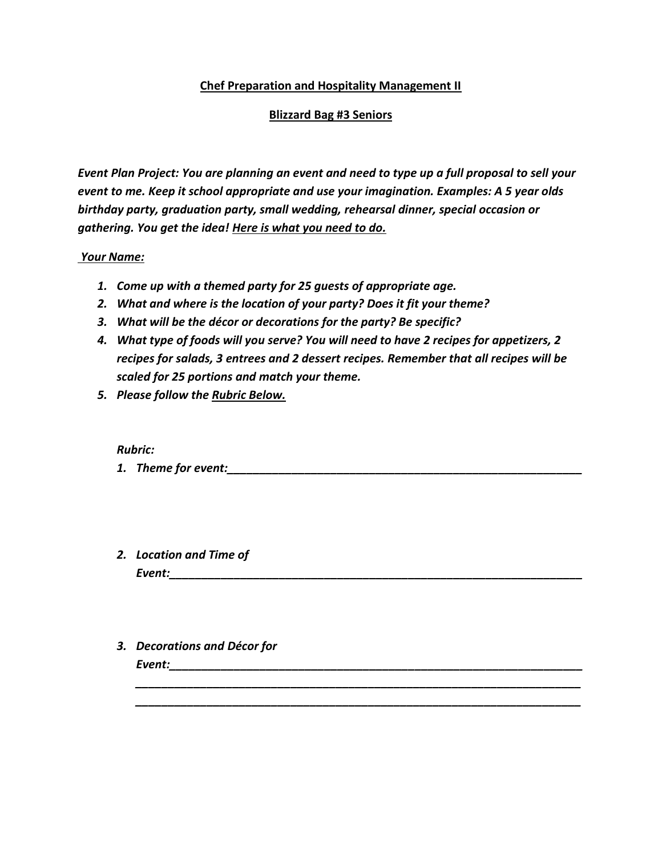## **Chef Preparation and Hospitality Management II**

## **Blizzard Bag #3 Seniors**

*Event Plan Project: You are planning an event and need to type up a full proposal to sell your event to me. Keep it school appropriate and use your imagination. Examples: A 5 year olds birthday party, graduation party, small wedding, rehearsal dinner, special occasion or gathering. You get the idea! Here is what you need to do.*

## *Your Name:*

- *1. Come up with a themed party for 25 guests of appropriate age.*
- *2. What and where is the location of your party? Does it fit your theme?*
- *3. What will be the décor or decorations for the party? Be specific?*
- *4. What type of foods will you serve? You will need to have 2 recipes for appetizers, 2 recipes for salads, 3 entrees and 2 dessert recipes. Remember that all recipes will be scaled for 25 portions and match your theme.*
- *5. Please follow the Rubric Below.*

## *Rubric:*

**1.** Theme for event:

*\_\_\_\_\_\_\_\_\_\_\_\_\_\_\_\_\_\_\_\_\_\_\_\_\_\_\_\_\_\_\_\_\_\_\_\_\_\_\_\_\_\_\_\_\_\_\_\_\_\_\_\_\_\_\_\_\_\_\_\_\_\_\_\_\_\_\_\_\_ \_\_\_\_\_\_\_\_\_\_\_\_\_\_\_\_\_\_\_\_\_\_\_\_\_\_\_\_\_\_\_\_\_\_\_\_\_\_\_\_\_\_\_\_\_\_\_\_\_\_\_\_\_\_\_\_\_\_\_\_\_\_\_\_\_\_\_\_\_*

- *2. Location and Time of Event:\_\_\_\_\_\_\_\_\_\_\_\_\_\_\_\_\_\_\_\_\_\_\_\_\_\_\_\_\_\_\_\_\_\_\_\_\_\_\_\_\_\_\_\_\_\_\_\_\_\_\_\_\_\_\_\_\_\_\_\_\_\_\_\_*
- *3. Decorations and Décor for*

*Event:\_\_\_\_\_\_\_\_\_\_\_\_\_\_\_\_\_\_\_\_\_\_\_\_\_\_\_\_\_\_\_\_\_\_\_\_\_\_\_\_\_\_\_\_\_\_\_\_\_\_\_\_\_\_\_\_\_\_\_\_\_\_\_\_*